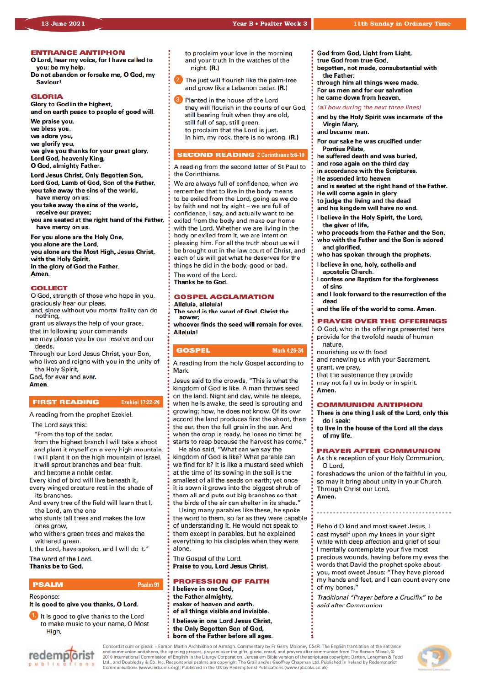#### **ENTRANCE ANTIPHON**

- O Lord, hear my voice, for I have called to vou: be my help.
- Do not abandon or forsake me, O God, my Saviour!

#### GLORIA

**Glory to God in the highest,** and on earth peace to people of good will.

We praise you, we bless you, we adore you, we glorify you, we give you thanks for your great glory, Lord God, heavenly King, O God, almighty Father.

Lord Jesus Christ, Only Begotten Son, Lord God, Lamb of God, Son of the Father, you take away the sins of the world,

have mercy on us:

you take away the sins of the world, receive our prayer;

you are seated at the right hand of the Father, have mercy on us.

For you alone are the Holy One,

you alone are the Lord, you alone are the Most High, Jesus Christ,

with the Holy Spirit,

in the glory of God the Father. Amen

### **COLLECT**

O God, strength of those who hope in you, graciously hear our pleas,

and, since without you mortal frailty can do nothing,

grant us always the help of your grace, that in following your commands

we may please you by our resolve and our aheeh

Through our Lord Jesus Christ, your Son, who lives and reigns with you in the unity of

the Holy Spirit. God, for ever and ever.

Amen.

#### **FIRST READING Ezekiel 17:22-24**

A reading from the prophet Ezekiel.

The Lord says this:

"From the top of the cedar,

from the highest branch I will take a shoot and plant it myself on a very high mountain. I will plant it on the high mountain of Israel. It will sprout branches and bear fruit, and become a noble cedar.

Every kind of bird will live beneath it,

every winged creature rest in the shade of its branches.

- And every tree of the field will learn that I, the Lord, am the one
- who stunts tall trees and makes the low ones arow.
- who withers green trees and makes the withered green.

I, the Lord, have spoken, and I will do it." The word of the Lord.

### **Thanks be to God.**

## Psalm 91

### **PSALM** Response:

It is good to give you thanks, O Lord.

It is good to give thanks to the Lord to make music to your name, O Most High,

redemplorist

to proclaim your love in the morning and your truth in the watches of the night. (R.)

- The just will flourish like the palm-tree and grow like a Lebanon cedar. (R.)
- Planted in the house of the Lord they will flourish in the courts of our God, still bearing fruit when they are old. still full of sap, still green, to proclaim that the Lord is just. In him, my rock, there is no wrong. (R.)

### **SECOND READING 2 Corinthians 5:6-10**

A reading from the second letter of St Paul to the Corinthians.

We are always full of confidence, when we remember that to live in the body means to be exiled from the Lord, going as we do by faith and not by sight - we are full of confidence, I say, and actually want to be exiled from the body and make our home with the Lord. Whether we are living in the body or exiled from it, we are intent on pleasing him. For all the truth about us will be brought out in the law court of Christ, and each of us will get what he deserves for the things he did in the body, good or bad.

The word of the Lord. **Thanks be to God.** 

## **GOSPEL ACCLAMATION**

Alleluia, alleluia! The seed is the word of God. Christ the sower:

whoever finds the seed will remain for ever. **Alleluia!** 

#### **GOSPEL Mark 4:26-34**

A reading from the holy Gospel according to Mark.

Jesus said to the crowds, "This is what the kingdom of God is like. A man throws seed on the land. Night and day, while he sleeps, when he is awake, the seed is sprouting and growing; how, he does not know. Of its own accord the land produces first the shoot, then the ear, then the full grain in the ear. And when the crop is ready, he loses no time: he starts to reap because the harvest has come."

He also said, "What can we say the kingdom of God is like? What parable can we find for it? It is like a mustard seed which at the time of its sowing in the soil is the smallest of all the seeds on earth; yet once it is sown it grows into the biggest shrub of them all and puts out big branches so that the birds of the air can shelter in its shade."

Using many parables like these, he spoke the word to them, so far as they were capable of understanding it. He would not speak to them except in parables, but he explained everything to his disciples when they were alone.

The Gospel of the Lord. Praise to you, Lord Jesus Christ.

### **PROFESSION OF FAITH**

I believe in one God. the Father almighty, maker of heaven and earth, of all things visible and invisible.

I believe in one Lord Jesus Christ. the Only Begotten Son of God, born of the Father before all ages.

Concordat cum originali: + Eamon Martin Archbishop of Armagh. Commentary by Fr Gerry Moloney CSsR. The English translation of the entrance<br>and communion antiphons, the opening prayers, prayers over the gifts, gloria, creed

- God from God, Light from Light,
- true God from true God.
- begotten, not made, consubstantial with the Father:
- through him all things were made. For us men and for our salvation
- he came down from heaven.

#### (all bow during the next three lines)

- and by the Holy Spirit was incarnate of the **Virgin Mary.**
- and became man.
- For our sake he was crucified under **Pontius Pilate.**
- he suffered death and was buried,
- and rose again on the third day
- in accordance with the Scriptures.
- He ascended into heaven
- and is seated at the right hand of the Father.
- He will come again in glory to judge the living and the dead
- and his kingdom will have no end.
- I believe in the Holy Spirit, the Lord, the giver of life.
- who proceeds from the Father and the Son, who with the Father and the Son is adored and glorified,
- who has spoken through the prophets.
- I believe in one, holy, catholic and apostolic Church.
- I confess one Baptism for the forgiveness of sins
- and I look forward to the resurrection of the heah
- and the life of the world to come. Amen.

#### **PRAYER OVER THE OFFERINGS**

- O God, who in the offerings presented here provide for the twofold needs of human nature.
- nourishing us with food
- and renewing us with your Sacrament,
- grant, we pray,
- that the sustenance they provide
- may not fail us in body or in spirit.

**Amen** 

### **COMMUNION ANTIPHON**

There is one thing I ask of the Lord, only this do I seek:

to live in the house of the Lord all the days of my life.

### **PRAYER AFTER COMMUNION**

As this reception of your Holy Communion, O Lord.

foreshadows the union of the faithful in you, so may it bring about unity in your Church. Through Christ our Lord. Amen.

Behold O kind and most sweet Jesus, I cast myself upon my knees in your sight while with deep affection and grief of soul I mentally contemplate your five most precious wounds, having before my eyes the words that David the prophet spoke about you, most sweet Jesus: "They have pierced my hands and feet, and I can count every one of my bones.'

Traditional "Prayer before a Crucifix" to be said after Communion